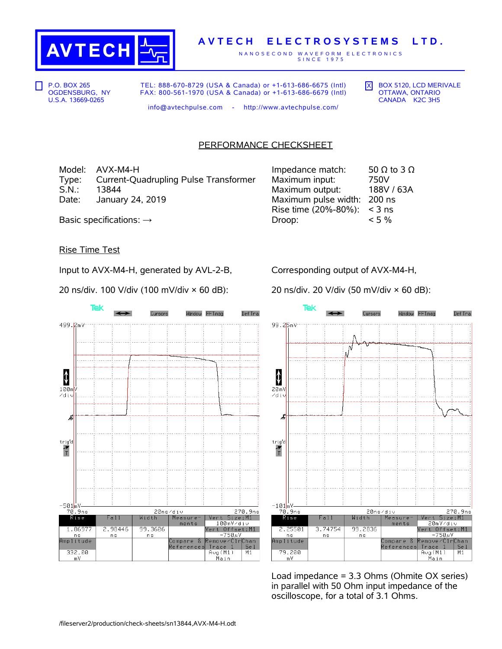

## **A V T E C H E L E C T R O S Y S T E M S L T D .**

N A N O S E C O N D W A V E F O R M E L E C T R O N I C S S I N C E 1 9 7 5

P.O. BOX 265 OGDENSBURG, NY U.S.A. 13669-0265

TEL: 888-670-8729 (USA & Canada) or +1-613-686-6675 (Intl) FAX: 800-561-1970 (USA & Canada) or +1-613-686-6679 (Intl)  $\overline{X}$  BOX 5120, LCD MERIVALE OTTAWA, ONTARIO CANADA K2C 3H5

info@avtechpulse.com - http://www.avtechpulse.com/

## PERFORMANCE CHECKSHEET

Model: AVX-M4-H Type: Current-Quadrupling Pulse Transformer<br>S.N.: 13844 S.N.: 13844 Maximum output: 188V / 63A Date: January 24, 2019

| Impedance match:     | 50 $\Omega$ to 3 $\Omega$ |
|----------------------|---------------------------|
| Maximum input:       | 750V                      |
| Maximum output:      | 188V / 63A                |
| Maximum pulse width: | 200 ns                    |
| Rise time (20%-80%): | $<$ 3 ns                  |
| Droop:               | $< 5\%$                   |
|                      |                           |

Basic specifications:  $\rightarrow$ 

## Rise Time Test

Input to AVX-M4-H, generated by AVL-2-B,

20 ns/div. 100 V/div (100 mV/div × 60 dB):

Tek Cursors Window FFTmag Def Tra 499.2mV  $\pmb{\downarrow}$  $100<sub>m</sub>$ ∠diu ょ trig'd  $\frac{1}{T}$ -501<mark>mV-</mark> 270.9ns 70.9ns 20ns/div  $R$ ise Width Vert Size:M1  $Fall$ Measure 100mV/div  $m$ ents Vert Offset:M1 2.98446 1.86977 99.3606  $750uV$ ns n s ...<br>Amplitude Compare &<br>References emove/ClrChan  $Trace 1$ <br> $Avg(M1)$ Se 1 332.00  $\overline{M1}$ <u>Main</u>  $mV$ 

Corresponding output of AVX-M4-H,

20 ns/div. 20 V/div (50 mV/div × 60 dB):



Load impedance = 3.3 Ohms (Ohmite OX series) in parallel with 50 Ohm input impedance of the oscilloscope, for a total of 3.1 Ohms.